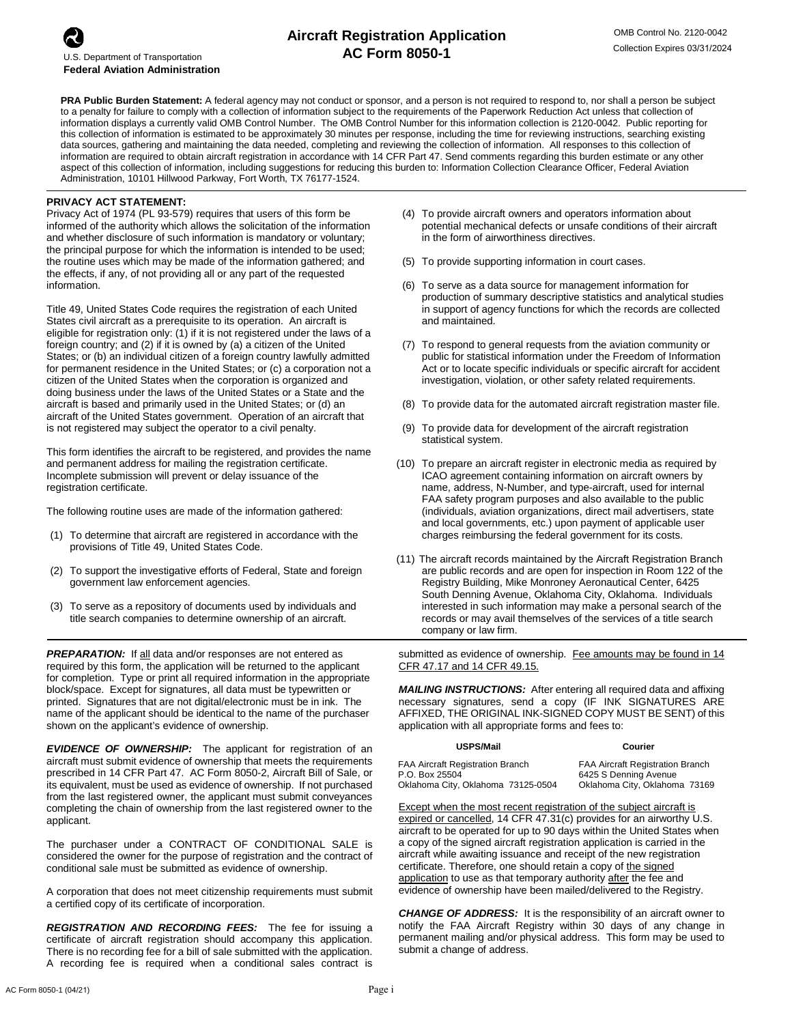## **Aircraft Registration Application AC Form 8050-1**

**PRA Public Burden Statement:** A federal agency may not conduct or sponsor, and a person is not required to respond to, nor shall a person be subject to a penalty for failure to comply with a collection of information subject to the requirements of the Paperwork Reduction Act unless that collection of information displays a currently valid OMB Control Number. The OMB Control Number for this information collection is 2120-0042. Public reporting for this collection of information is estimated to be approximately 30 minutes per response, including the time for reviewing instructions, searching existing data sources, gathering and maintaining the data needed, completing and reviewing the collection of information. All responses to this collection of information are required to obtain aircraft registration in accordance with 14 CFR Part 47. Send comments regarding this burden estimate or any other aspect of this collection of information, including suggestions for reducing this burden to: Information Collection Clearance Officer, Federal Aviation Administration, 10101 Hillwood Parkway, Fort Worth, TX 76177-1524.

## **PRIVACY ACT STATEMENT:**

Privacy Act of 1974 (PL 93-579) requires that users of this form be informed of the authority which allows the solicitation of the information and whether disclosure of such information is mandatory or voluntary; the principal purpose for which the information is intended to be used; the routine uses which may be made of the information gathered; and the effects, if any, of not providing all or any part of the requested information.

Title 49, United States Code requires the registration of each United States civil aircraft as a prerequisite to its operation. An aircraft is eligible for registration only: (1) if it is not registered under the laws of a foreign country; and (2) if it is owned by (a) a citizen of the United States; or (b) an individual citizen of a foreign country lawfully admitted for permanent residence in the United States; or (c) a corporation not a citizen of the United States when the corporation is organized and doing business under the laws of the United States or a State and the aircraft is based and primarily used in the United States; or (d) an aircraft of the United States government. Operation of an aircraft that is not registered may subject the operator to a civil penalty.

This form identifies the aircraft to be registered, and provides the name and permanent address for mailing the registration certificate. Incomplete submission will prevent or delay issuance of the registration certificate.

The following routine uses are made of the information gathered:

- (1) To determine that aircraft are registered in accordance with the provisions of Title 49, United States Code.
- (2) To support the investigative efforts of Federal, State and foreign government law enforcement agencies.
- (3) To serve as a repository of documents used by individuals and title search companies to determine ownership of an aircraft.

**PREPARATION:** If all data and/or responses are not entered as required by this form, the application will be returned to the applicant for completion. Type or print all required information in the appropriate block/space. Except for signatures, all data must be typewritten or printed. Signatures that are not digital/electronic must be in ink. The name of the applicant should be identical to the name of the purchaser shown on the applicant's evidence of ownership.

*EVIDENCE OF OWNERSHIP:* The applicant for registration of an aircraft must submit evidence of ownership that meets the requirements prescribed in 14 CFR Part 47. AC Form 8050-2, Aircraft Bill of Sale, or its equivalent, must be used as evidence of ownership. If not purchased from the last registered owner, the applicant must submit conveyances completing the chain of ownership from the last registered owner to the applicant.

The purchaser under a CONTRACT OF CONDITIONAL SALE is considered the owner for the purpose of registration and the contract of conditional sale must be submitted as evidence of ownership.

A corporation that does not meet citizenship requirements must submit a certified copy of its certificate of incorporation.

*REGISTRATION AND RECORDING FEES:* The fee for issuing a certificate of aircraft registration should accompany this application. There is no recording fee for a bill of sale submitted with the application. A recording fee is required when a conditional sales contract is

- (4) To provide aircraft owners and operators information about potential mechanical defects or unsafe conditions of their aircraft in the form of airworthiness directives.
- (5) To provide supporting information in court cases.
- (6) To serve as a data source for management information for production of summary descriptive statistics and analytical studies in support of agency functions for which the records are collected and maintained.
- (7) To respond to general requests from the aviation community or public for statistical information under the Freedom of Information Act or to locate specific individuals or specific aircraft for accident investigation, violation, or other safety related requirements.
- (8) To provide data for the automated aircraft registration master file.
- (9) To provide data for development of the aircraft registration statistical system.
- (10) To prepare an aircraft register in electronic media as required by ICAO agreement containing information on aircraft owners by name, address, N-Number, and type-aircraft, used for internal FAA safety program purposes and also available to the public (individuals, aviation organizations, direct mail advertisers, state and local governments, etc.) upon payment of applicable user charges reimbursing the federal government for its costs.
- (11) The aircraft records maintained by the Aircraft Registration Branch are public records and are open for inspection in Room 122 of the Registry Building, Mike Monroney Aeronautical Center, 6425 South Denning Avenue, Oklahoma City, Oklahoma. Individuals interested in such information may make a personal search of the records or may avail themselves of the services of a title search company or law firm.

submitted as evidence of ownership. Fee amounts may be found in 14 CFR 47.17 and 14 CFR 49.15.

*MAILING INSTRUCTIONS:* After entering all required data and affixing necessary signatures, send a copy (IF INK SIGNATURES ARE AFFIXED, THE ORIGINAL INK-SIGNED COPY MUST BE SENT) of this application with all appropriate forms and fees to:

| <b>USPS/Mail</b>                   | <b>Courier</b>                          |
|------------------------------------|-----------------------------------------|
| FAA Aircraft Registration Branch   | <b>FAA Aircraft Registration Branch</b> |
| P.O. Box 25504                     | 6425 S Denning Avenue                   |
| Oklahoma City, Oklahoma 73125-0504 | Oklahoma City, Oklahoma 73169           |

Except when the most recent registration of the subject aircraft is expired or cancelled, 14 CFR 47.31(c) provides for an airworthy U.S. aircraft to be operated for up to 90 days within the United States when a copy of the signed aircraft registration application is carried in the aircraft while awaiting issuance and receipt of the new registration certificate. Therefore, one should retain a copy of the signed application to use as that temporary authority after the fee and evidence of ownership have been mailed/delivered to the Registry.

*CHANGE OF ADDRESS:* It is the responsibility of an aircraft owner to notify the FAA Aircraft Registry within 30 days of any change in permanent mailing and/or physical address. This form may be used to submit a change of address.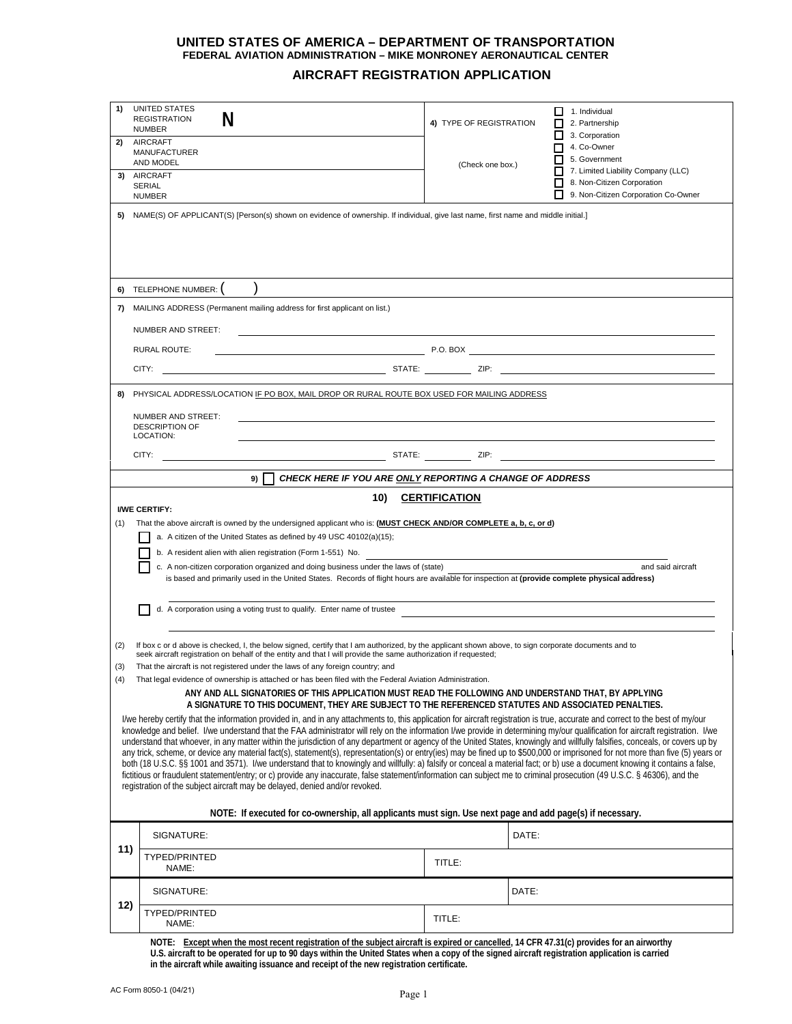## **UNITED STATES OF AMERICA – DEPARTMENT OF TRANSPORTATION FEDERAL AVIATION ADMINISTRATION – MIKE MONRONEY AERONAUTICAL CENTER**

## **AIRCRAFT REGISTRATION APPLICATION**

| 1)                                                                                                                                                                                                                                                                                                                                                                                                                                                                                                                                                                                                                                                                                                                                                                                                                                                                                                                                                                                                                                                                                                                                                                              | <b>UNITED STATES</b><br>N<br><b>REGISTRATION</b><br><b>NUMBER</b>                                                                                                                                                                                                                                                                                                                                                                                                                                                                             | 4) TYPE OF REGISTRATION                                    | □<br>ப                                  | 1. Individual<br>2. Partnership<br>3. Corporation                                                       |  |  |  |
|---------------------------------------------------------------------------------------------------------------------------------------------------------------------------------------------------------------------------------------------------------------------------------------------------------------------------------------------------------------------------------------------------------------------------------------------------------------------------------------------------------------------------------------------------------------------------------------------------------------------------------------------------------------------------------------------------------------------------------------------------------------------------------------------------------------------------------------------------------------------------------------------------------------------------------------------------------------------------------------------------------------------------------------------------------------------------------------------------------------------------------------------------------------------------------|-----------------------------------------------------------------------------------------------------------------------------------------------------------------------------------------------------------------------------------------------------------------------------------------------------------------------------------------------------------------------------------------------------------------------------------------------------------------------------------------------------------------------------------------------|------------------------------------------------------------|-----------------------------------------|---------------------------------------------------------------------------------------------------------|--|--|--|
| 2)                                                                                                                                                                                                                                                                                                                                                                                                                                                                                                                                                                                                                                                                                                                                                                                                                                                                                                                                                                                                                                                                                                                                                                              | <b>AIRCRAFT</b><br><b>MANUFACTURER</b><br>AND MODEL                                                                                                                                                                                                                                                                                                                                                                                                                                                                                           | 4. Co-Owner<br>5. Government<br>$\Box$<br>(Check one box.) |                                         |                                                                                                         |  |  |  |
| 3)                                                                                                                                                                                                                                                                                                                                                                                                                                                                                                                                                                                                                                                                                                                                                                                                                                                                                                                                                                                                                                                                                                                                                                              | AIRCRAFT<br><b>SERIAL</b><br><b>NUMBER</b>                                                                                                                                                                                                                                                                                                                                                                                                                                                                                                    |                                                            | $\Box$<br>$\overline{\phantom{a}}$<br>г | 7. Limited Liability Company (LLC)<br>8. Non-Citizen Corporation<br>9. Non-Citizen Corporation Co-Owner |  |  |  |
| 5)                                                                                                                                                                                                                                                                                                                                                                                                                                                                                                                                                                                                                                                                                                                                                                                                                                                                                                                                                                                                                                                                                                                                                                              | NAME(S) OF APPLICANT(S) [Person(s) shown on evidence of ownership. If individual, give last name, first name and middle initial.]                                                                                                                                                                                                                                                                                                                                                                                                             |                                                            |                                         |                                                                                                         |  |  |  |
|                                                                                                                                                                                                                                                                                                                                                                                                                                                                                                                                                                                                                                                                                                                                                                                                                                                                                                                                                                                                                                                                                                                                                                                 |                                                                                                                                                                                                                                                                                                                                                                                                                                                                                                                                               |                                                            |                                         |                                                                                                         |  |  |  |
| 6)                                                                                                                                                                                                                                                                                                                                                                                                                                                                                                                                                                                                                                                                                                                                                                                                                                                                                                                                                                                                                                                                                                                                                                              | TELEPHONE NUMBER:                                                                                                                                                                                                                                                                                                                                                                                                                                                                                                                             |                                                            |                                         |                                                                                                         |  |  |  |
| 7)                                                                                                                                                                                                                                                                                                                                                                                                                                                                                                                                                                                                                                                                                                                                                                                                                                                                                                                                                                                                                                                                                                                                                                              | MAILING ADDRESS (Permanent mailing address for first applicant on list.)                                                                                                                                                                                                                                                                                                                                                                                                                                                                      |                                                            |                                         |                                                                                                         |  |  |  |
|                                                                                                                                                                                                                                                                                                                                                                                                                                                                                                                                                                                                                                                                                                                                                                                                                                                                                                                                                                                                                                                                                                                                                                                 | NUMBER AND STREET:                                                                                                                                                                                                                                                                                                                                                                                                                                                                                                                            |                                                            |                                         |                                                                                                         |  |  |  |
|                                                                                                                                                                                                                                                                                                                                                                                                                                                                                                                                                                                                                                                                                                                                                                                                                                                                                                                                                                                                                                                                                                                                                                                 | $P.0. BOX$ <b>Example 2.1 and 2.1 and 2.1 and 2.1 and 2.1 and 2.1 and 2.1 and 2.1 and 2.1 and 2.1 and 2.1 and 2.1 and 2.1 and 2.1 and 2.1 and 2.1 and 2.1 and 2.1 and 2.1 and 2.1 and 2.1 and 2.1 and 2.1 and 2.1 and 2.1 and 2.1</b><br><b>RURAL ROUTE:</b>                                                                                                                                                                                                                                                                                  |                                                            |                                         |                                                                                                         |  |  |  |
|                                                                                                                                                                                                                                                                                                                                                                                                                                                                                                                                                                                                                                                                                                                                                                                                                                                                                                                                                                                                                                                                                                                                                                                 |                                                                                                                                                                                                                                                                                                                                                                                                                                                                                                                                               |                                                            |                                         |                                                                                                         |  |  |  |
| 8)                                                                                                                                                                                                                                                                                                                                                                                                                                                                                                                                                                                                                                                                                                                                                                                                                                                                                                                                                                                                                                                                                                                                                                              | PHYSICAL ADDRESS/LOCATION IF PO BOX, MAIL DROP OR RURAL ROUTE BOX USED FOR MAILING ADDRESS                                                                                                                                                                                                                                                                                                                                                                                                                                                    |                                                            |                                         |                                                                                                         |  |  |  |
|                                                                                                                                                                                                                                                                                                                                                                                                                                                                                                                                                                                                                                                                                                                                                                                                                                                                                                                                                                                                                                                                                                                                                                                 | NUMBER AND STREET:<br><b>DESCRIPTION OF</b><br>LOCATION:                                                                                                                                                                                                                                                                                                                                                                                                                                                                                      |                                                            |                                         |                                                                                                         |  |  |  |
|                                                                                                                                                                                                                                                                                                                                                                                                                                                                                                                                                                                                                                                                                                                                                                                                                                                                                                                                                                                                                                                                                                                                                                                 |                                                                                                                                                                                                                                                                                                                                                                                                                                                                                                                                               |                                                            |                                         |                                                                                                         |  |  |  |
|                                                                                                                                                                                                                                                                                                                                                                                                                                                                                                                                                                                                                                                                                                                                                                                                                                                                                                                                                                                                                                                                                                                                                                                 | CHECK HERE IF YOU ARE ONLY REPORTING A CHANGE OF ADDRESS<br>9)                                                                                                                                                                                                                                                                                                                                                                                                                                                                                |                                                            |                                         |                                                                                                         |  |  |  |
|                                                                                                                                                                                                                                                                                                                                                                                                                                                                                                                                                                                                                                                                                                                                                                                                                                                                                                                                                                                                                                                                                                                                                                                 | 10)                                                                                                                                                                                                                                                                                                                                                                                                                                                                                                                                           | <b>CERTIFICATION</b>                                       |                                         |                                                                                                         |  |  |  |
| (1)                                                                                                                                                                                                                                                                                                                                                                                                                                                                                                                                                                                                                                                                                                                                                                                                                                                                                                                                                                                                                                                                                                                                                                             | <b>I/WE CERTIFY:</b><br>That the above aircraft is owned by the undersigned applicant who is: (MUST CHECK AND/OR COMPLETE a, b, c, or d)<br>a. A citizen of the United States as defined by 49 USC 40102(a)(15);<br>b. A resident alien with alien registration (Form 1-551) No.<br>c. A non-citizen corporation organized and doing business under the laws of (state)<br>and said aircraft<br>is based and primarily used in the United States. Records of flight hours are available for inspection at (provide complete physical address) |                                                            |                                         |                                                                                                         |  |  |  |
|                                                                                                                                                                                                                                                                                                                                                                                                                                                                                                                                                                                                                                                                                                                                                                                                                                                                                                                                                                                                                                                                                                                                                                                 | d. A corporation using a voting trust to qualify. Enter name of trustee                                                                                                                                                                                                                                                                                                                                                                                                                                                                       |                                                            |                                         |                                                                                                         |  |  |  |
| (2)<br>(3)                                                                                                                                                                                                                                                                                                                                                                                                                                                                                                                                                                                                                                                                                                                                                                                                                                                                                                                                                                                                                                                                                                                                                                      | If box c or d above is checked, I, the below signed, certify that I am authorized, by the applicant shown above, to sign corporate documents and to<br>seek aircraft registration on behalf of the entity and that I will provide the same authorization if requested;<br>That the aircraft is not registered under the laws of any foreign country; and                                                                                                                                                                                      |                                                            |                                         |                                                                                                         |  |  |  |
|                                                                                                                                                                                                                                                                                                                                                                                                                                                                                                                                                                                                                                                                                                                                                                                                                                                                                                                                                                                                                                                                                                                                                                                 | That legal evidence of ownership is attached or has been filed with the Federal Aviation Administration.                                                                                                                                                                                                                                                                                                                                                                                                                                      |                                                            |                                         |                                                                                                         |  |  |  |
|                                                                                                                                                                                                                                                                                                                                                                                                                                                                                                                                                                                                                                                                                                                                                                                                                                                                                                                                                                                                                                                                                                                                                                                 | ANY AND ALL SIGNATORIES OF THIS APPLICATION MUST READ THE FOLLOWING AND UNDERSTAND THAT, BY APPLYING<br>A SIGNATURE TO THIS DOCUMENT, THEY ARE SUBJECT TO THE REFERENCED STATUTES AND ASSOCIATED PENALTIES.                                                                                                                                                                                                                                                                                                                                   |                                                            |                                         |                                                                                                         |  |  |  |
| I/we hereby certify that the information provided in, and in any attachments to, this application for aircraft registration is true, accurate and correct to the best of my/our<br>knowledge and belief. I/we understand that the FAA administrator will rely on the information I/we provide in determining my/our qualification for aircraft registration. I/we<br>understand that whoever, in any matter within the jurisdiction of any department or agency of the United States, knowingly and willfully falsifies, conceals, or covers up by<br>any trick, scheme, or device any material fact(s), statement(s), representation(s) or entry(ies) may be fined up to \$500,000 or imprisoned for not more than five (5) years or<br>both (18 U.S.C. §§ 1001 and 3571). I/we understand that to knowingly and willfully: a) falsify or conceal a material fact; or b) use a document knowing it contains a false,<br>fictitious or fraudulent statement/entry; or c) provide any inaccurate, false statement/information can subject me to criminal prosecution (49 U.S.C. § 46306), and the<br>registration of the subject aircraft may be delayed, denied and/or revoked. |                                                                                                                                                                                                                                                                                                                                                                                                                                                                                                                                               |                                                            |                                         |                                                                                                         |  |  |  |
| NOTE: If executed for co-ownership, all applicants must sign. Use next page and add page(s) if necessary.                                                                                                                                                                                                                                                                                                                                                                                                                                                                                                                                                                                                                                                                                                                                                                                                                                                                                                                                                                                                                                                                       |                                                                                                                                                                                                                                                                                                                                                                                                                                                                                                                                               |                                                            |                                         |                                                                                                         |  |  |  |
|                                                                                                                                                                                                                                                                                                                                                                                                                                                                                                                                                                                                                                                                                                                                                                                                                                                                                                                                                                                                                                                                                                                                                                                 | SIGNATURE:                                                                                                                                                                                                                                                                                                                                                                                                                                                                                                                                    |                                                            | DATE:                                   |                                                                                                         |  |  |  |
| 11)                                                                                                                                                                                                                                                                                                                                                                                                                                                                                                                                                                                                                                                                                                                                                                                                                                                                                                                                                                                                                                                                                                                                                                             | TYPED/PRINTED<br>NAME:                                                                                                                                                                                                                                                                                                                                                                                                                                                                                                                        | TITLE:                                                     |                                         |                                                                                                         |  |  |  |
|                                                                                                                                                                                                                                                                                                                                                                                                                                                                                                                                                                                                                                                                                                                                                                                                                                                                                                                                                                                                                                                                                                                                                                                 | SIGNATURE:                                                                                                                                                                                                                                                                                                                                                                                                                                                                                                                                    |                                                            | DATE:                                   |                                                                                                         |  |  |  |
| 12)                                                                                                                                                                                                                                                                                                                                                                                                                                                                                                                                                                                                                                                                                                                                                                                                                                                                                                                                                                                                                                                                                                                                                                             | TYPED/PRINTED<br>NAME:                                                                                                                                                                                                                                                                                                                                                                                                                                                                                                                        | TITLE:                                                     |                                         |                                                                                                         |  |  |  |

**NOTE: Except when the most recent registration of the subject aircraft is expired or cancelled, 14 CFR 47.31(c) provides for an airworthy U.S. aircraft to be operated for up to 90 days within the United States when a copy of the signed aircraft registration application is carried in the aircraft while awaiting issuance and receipt of the new registration certificate.**